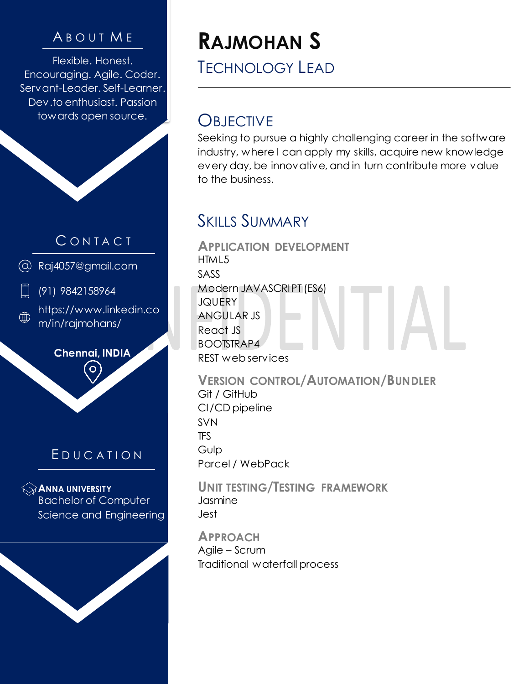Flexible. Honest. Encouraging. Agile. Coder. Servant-Leader. Self-Learner. Dev.to enthusiast. Passion towards open source.

#### **CONTACT**

Raj4057@gmail.com

(91) 9842158964

https://www.linkedin.co ∰ m/in/rajmohans/

**Chennai, INDIA**

#### E D U C A T I O N

**ANNA UNIVERSITY** Bachelor of Computer Science and Engineering

## <sup>A</sup> B O U T <sup>M</sup> <sup>E</sup> **RAJMOHAN S**

TECHNOLOGY LEAD

#### **OBJECTIVE**

Seeking to pursue a highly challenging career in the software industry, where I can apply my skills, acquire new knowledge every day, be innovative, and in turn contribute more value to the business.

#### SKILLS SUMMARY

**APPLICATION DEVELOPMENT** HTML5 SASS Modern JAVASCRIPT (ES6) **JQUERY** ANGULAR JS React JS BOOTSTRAP4 REST web services

**VERSION CONTROL/AUTOMATION/BUNDLER** Git / GitHub CI/CD pipeline SVN TFS Gulp Parcel / WebPack

**UNIT TESTING/TESTING FRAMEWORK** Jasmine Jest

**APPROACH** Agile – Scrum Traditional waterfall process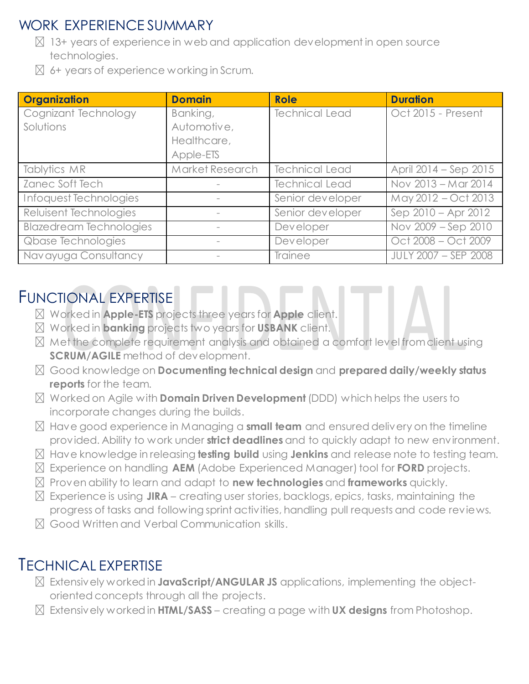#### WORK EXPERIENCE SUMMARY

- $\boxtimes$  13+ years of experience in web and application development in open source technologies.
- $\boxtimes$  6+ years of experience working in Scrum.

| <b>Organization</b>            | <b>Domain</b>   | <b>Role</b>           | <b>Duration</b>       |
|--------------------------------|-----------------|-----------------------|-----------------------|
| Cognizant Technology           | Banking,        | <b>Technical Lead</b> | Oct 2015 - Present    |
| Solutions                      | Automotive,     |                       |                       |
|                                | Healthcare,     |                       |                       |
|                                | Apple-ETS       |                       |                       |
| Tablytics MR                   | Market Research | <b>Technical Lead</b> | April 2014 – Sep 2015 |
| Zanec Soft Tech                |                 | <b>Technical Lead</b> | Nov 2013 - Mar 2014   |
| Infoquest Technologies         |                 | Senior developer      | May 2012 - Oct 2013   |
| Reluisent Technologies         |                 | Senior developer      | Sep 2010 - Apr 2012   |
| <b>Blazedream Technologies</b> |                 | Developer             | Nov 2009 - Sep 2010   |
| Qbase Technologies             |                 | Developer             | Oct 2008 - Oct 2009   |
| Navayuga Consultancy           |                 | Trainee               | JULY 2007 - SEP 2008  |

#### FUNCTIONAL EXPERTISE

- Worked in **Apple-ETS** projects three years for **Apple** client.
- Worked in **banking** projects two years for **USBANK** client.
- $\boxtimes$  Met the complete requirement analysis and obtained a comfort level from client using **SCRUM/AGILE** method of development.
- Good knowledge on **Documenting technical design** and **prepared daily/weekly status reports** for the team.
- Worked on Agile with **Domain Driven Development** (DDD) which helps the users to incorporate changes during the builds.
- Have good experience in Managing a **small team** and ensured delivery on the timeline provided. Ability to work under **strict deadlines** and to quickly adapt to new environment.
- Have knowledge in releasing **testing build** using **Jenkins** and release note to testing team.
- Experience on handling **AEM** (Adobe Experienced Manager) tool for **FORD** projects.
- Proven ability to learn and adapt to **new technologies** and **frameworks** quickly.
- $\boxtimes$  Experience is using JIRA creating user stories, backlogs, epics, tasks, maintaining the progress of tasks and following sprint activities, handling pull requests and code reviews.
- Good Written and Verbal Communication skills.

#### TECHNICAL EXPERTISE

- Extensively worked in **JavaScript/ANGULAR JS** applications, implementing the objectoriented concepts through all the projects.
- Extensively worked in **HTML/SASS** creating a page with **UX designs** from Photoshop.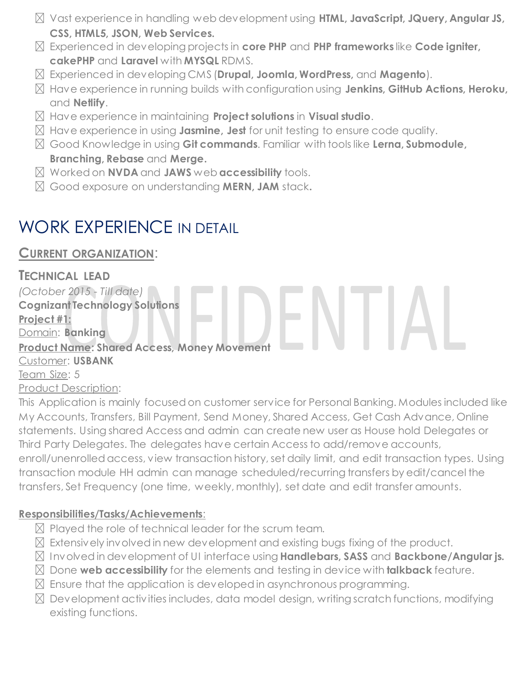- Vast experience in handling web development using **HTML, JavaScript, JQuery, Angular JS, CSS, HTML5, JSON, Web Services.**
- Experienced in developing projects in **core PHP** and **PHP frameworks** like **Code igniter, cakePHP** and **Laravel** with **MYSQL** RDMS.
- Experienced in developing CMS (**Drupal, Joomla, WordPress,** and **Magento**).
- Have experience in running builds with configuration using **Jenkins, GitHub Actions, Heroku,**  and **Netlify**.
- Have experience in maintaining **Project solutions** in **Visual studio**.
- Have experience in using **Jasmine, Jest** for unit testing to ensure code quality.
- Good Knowledge in using **Git commands**. Familiar with tools like **Lerna, Submodule, Branching, Rebase** and **Merge.**
- Worked on **NVDA** and **JAWS** web **accessibility** tools.
- Good exposure on understanding **MERN, JAM** stack**.**

### WORK EXPERIENCE IN DETAIL

**CURRENT ORGANIZATION**:

**TECHNICAL LEAD** *(October 2015 - Till date)* **Cognizant Technology Solutions Project #1:** Domain: **Banking Product Name: Shared Access, Money Movement** Customer: **USBANK** Team Size: 5 Product Description:

This Application is mainly focused on customer service for Personal Banking. Modules included like My Accounts, Transfers, Bill Payment, Send Money, Shared Access, Get Cash Advance, Online statements. Using shared Access and admin can create new user as House hold Delegates or Third Party Delegates. The delegates have certain Access to add/remove accounts, enroll/unenrolled access, view transaction history, set daily limit, and edit transaction types. Using transaction module HH admin can manage scheduled/recurring transfers by edit/cancel the transfers, Set Frequency (one time, weekly, monthly), set date and edit transfer amounts.

#### **Responsibilities/Tasks/Achievements**:

- $\boxtimes$  Played the role of technical leader for the scrum team.
- $\boxtimes$  Extensively involved in new development and existing bugs fixing of the product.
- Involved in development of UI interface using **Handlebars, SASS** and **Backbone/Angular js.**
- Done **web accessibility** for the elements and testing in device with **talkback** feature.
- $\boxtimes$  Ensure that the application is developed in asynchronous programming.
- $\boxtimes$  Development activities includes, data model design, writing scratch functions, modifying existing functions.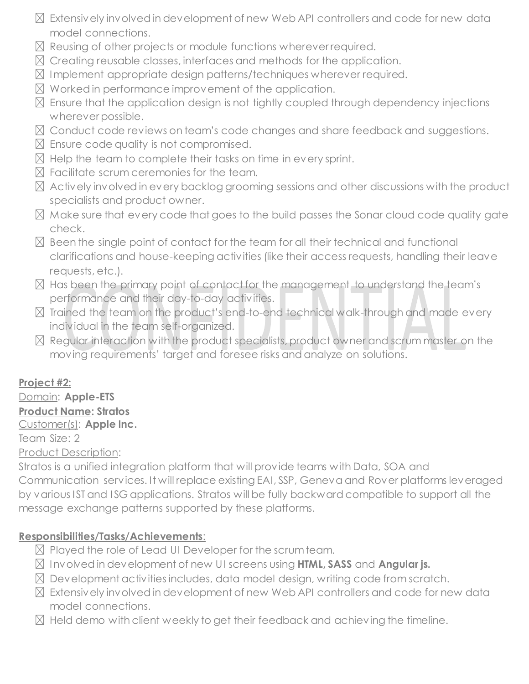- $\boxtimes$  Extensively involved in development of new Web API controllers and code for new data model connections.
- $\boxtimes$  Reusing of other projects or module functions wherever required.
- $\boxtimes$  Creating reusable classes, interfaces and methods for the application.
- $\boxtimes$  Implement appropriate design patterns/techniques wherever required.
- $\boxtimes$  Worked in performance improvement of the application.
- $\boxtimes$  Ensure that the application design is not tightly coupled through dependency injections wherever possible.
- $\boxtimes$  Conduct code reviews on team's code changes and share feedback and suggestions.
- $\boxtimes$  Ensure code quality is not compromised.
- $\boxtimes$  Help the team to complete their tasks on time in every sprint.
- $R$  Facilitate scrum ceremonies for the team.
- $\boxtimes$  Actively involved in every backlog grooming sessions and other discussions with the product specialists and product owner.
- $\boxtimes$  Make sure that every code that goes to the build passes the Sonar cloud code quality gate check.
- $\boxtimes$  Been the single point of contact for the team for all their technical and functional clarifications and house-keeping activities (like their access requests, handling their leave requests, etc.).
- $\boxtimes$  Has been the primary point of contact for the management to understand the team's performance and their day-to-day activities.
- $\boxtimes$  Trained the team on the product's end-to-end technical walk-through and made every individual in the team self-organized.
- $\boxtimes$  Regular interaction with the product specialists, product owner and scrum master on the moving requirements' target and foresee risks and analyze on solutions.

#### **Project #2:**

#### Domain: **Apple-ETS**

#### **Product Name: Stratos**

#### Customer(s): **Apple Inc.**

#### Team Size: 2

#### Product Description:

Stratos is a unified integration platform that will provide teams with Data, SOA and Communication services. It will replace existing EAI, SSP, Geneva and Rover platforms leveraged by various IST and ISG applications. Stratos will be fully backward compatible to support all the message exchange patterns supported by these platforms.

#### **Responsibilities/Tasks/Achievements**:

- $\boxtimes$  Played the role of Lead UI Developer for the scrum team.
- Involved in development of new UI screens using **HTML, SASS** and **Angular js.**
- $\boxtimes$  Development activities includes, data model design, writing code from scratch.
- $\boxtimes$  Extensively involved in development of new Web API controllers and code for new data model connections.
- $\boxtimes$  Held demo with client weekly to get their feedback and achieving the timeline.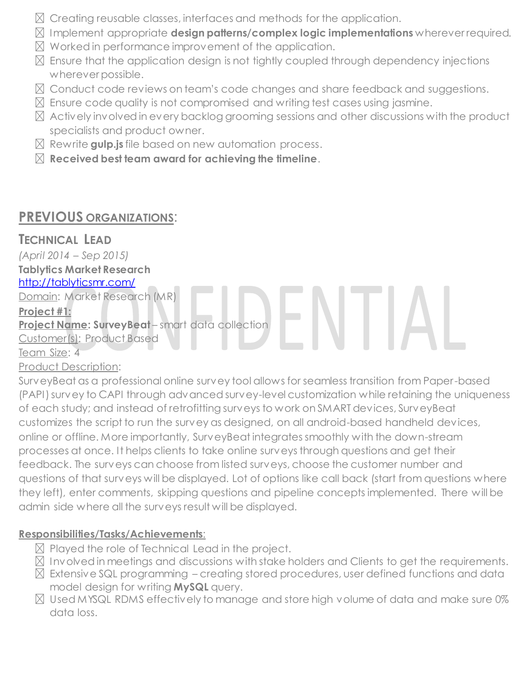- $\boxtimes$  Creating reusable classes, interfaces and methods for the application.
- Implement appropriate **design patterns/complex logic implementations** wherever required.
- $\boxtimes$  Worked in performance improvement of the application.
- $\boxtimes$  Ensure that the application design is not tightly coupled through dependency injections wherever possible.
- $\boxtimes$  Conduct code reviews on team's code changes and share feedback and suggestions.
- $\boxtimes$  Ensure code quality is not compromised and writing test cases using jasmine.
- $\boxtimes$  Actively involved in every backlog grooming sessions and other discussions with the product specialists and product owner.
- Rewrite **gulp.js** file based on new automation process.
- **Received best team award for achieving the timeline**.

#### **PREVIOUS ORGANIZATIONS**:

#### **TECHNICAL LEAD**

*(April 2014 – Sep 2015)*

#### **Tablytics Market Research** <http://tablyticsmr.com/>

Domain: Market Research (MR)

#### **Project #1:**

**Project Name: SurveyBeat** – smart data collection

Customer(s): Product Based

Team Size: 4

#### Product Description:

SurveyBeat as a professional online survey tool allows for seamless transition from Paper-based (PAPI) survey to CAPI through advanced survey-level customization while retaining the uniqueness of each study; and instead of retrofitting surveys to work on SMART devices, SurveyBeat customizes the script to run the survey as designed, on all android-based handheld devices, online or offline. More importantly, SurveyBeat integrates smoothly with the down-stream processes at once. It helps clients to take online surveys through questions and get their feedback. The surveys can choose from listed surveys, choose the customer number and questions of that surveys will be displayed. Lot of options like call back (start from questions where they left), enter comments, skipping questions and pipeline concepts implemented. There will be admin side where all the surveys result will be displayed.

#### **Responsibilities/Tasks/Achievements**:

- $\boxtimes$  Played the role of Technical Lead in the project.
- $\boxtimes$  Involved in meetings and discussions with stake holders and Clients to get the requirements.
- $\boxtimes$  Extensive SQL programming creating stored procedures, user defined functions and data model design for writing **MySQL** query.
- $\boxtimes$  Used MYSQL RDMS effectively to manage and store high volume of data and make sure 0% data loss.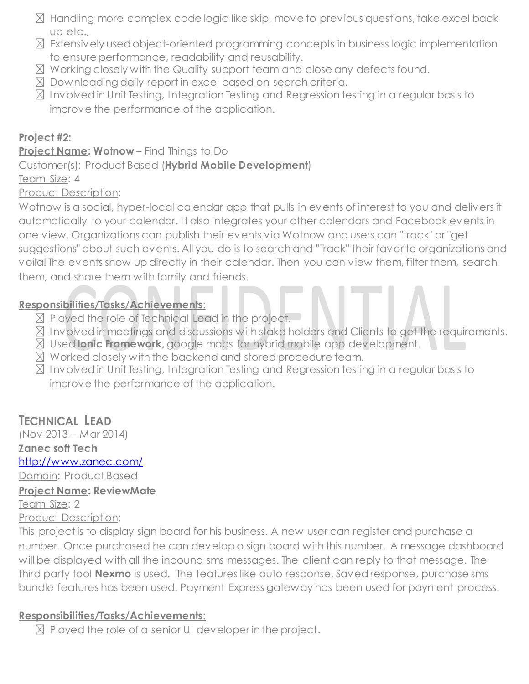- $\boxtimes$  Handling more complex code logic like skip, move to previous questions, take excel back up etc.,
- $\boxtimes$  Extensively used object-oriented programming concepts in business logic implementation to ensure performance, readability and reusability.
- $\boxtimes$  Working closely with the Quality support team and close any defects found.
- $\boxtimes$  Downloading daily report in excel based on search criteria.
- $\boxtimes$  Involved in Unit Testing, Integration Testing and Regression testing in a regular basis to improve the performance of the application.

#### **Project #2:**

#### **Project Name: Wotnow** – Find Things to Do

#### Customer(s): Product Based (**Hybrid Mobile Development**)

Team Size: 4

#### Product Description:

Wotnow is a social, hyper-local calendar app that pulls in events of interest to you and delivers it automatically to your calendar. It also integrates your other calendars and Facebook events in one view. Organizations can publish their events via Wotnow and users can "track" or "get suggestions" about such events. All you do is to search and "Track" their favorite organizations and voila! The events show up directly in their calendar. Then you can view them, filter them, search them, and share them with family and friends.

#### **Responsibilities/Tasks/Achievements**:

- $\boxtimes$  Played the role of Technical Lead in the project.
- Involved in meetings and discussions with stake holders and Clients to get the requirements.
- Used **Ionic Framework,** google maps for hybrid mobile app development.
- $\boxtimes$  Worked closely with the backend and stored procedure team.
- $\boxtimes$  Involved in Unit Testing, Integration Testing and Regression testing in a regular basis to improve the performance of the application.

#### **TECHNICAL LEAD**

(Nov 2013 – Mar 2014) **Zanec soft Tech** <http://www.zanec.com/> Domain: Product Based **Project Name: ReviewMate** Team Size: 2

Product Description:

This project is to display sign board for his business. A new user can register and purchase a number. Once purchased he can develop a sign board with this number. A message dashboard will be displayed with all the inbound sms messages. The client can reply to that message. The third party tool **Nexmo** is used. The features like auto response, Saved response, purchase sms bundle features has been used. Payment Express gateway has been used for payment process.

#### **Responsibilities/Tasks/Achievements**:

 $\boxtimes$  Played the role of a senior UI developer in the project.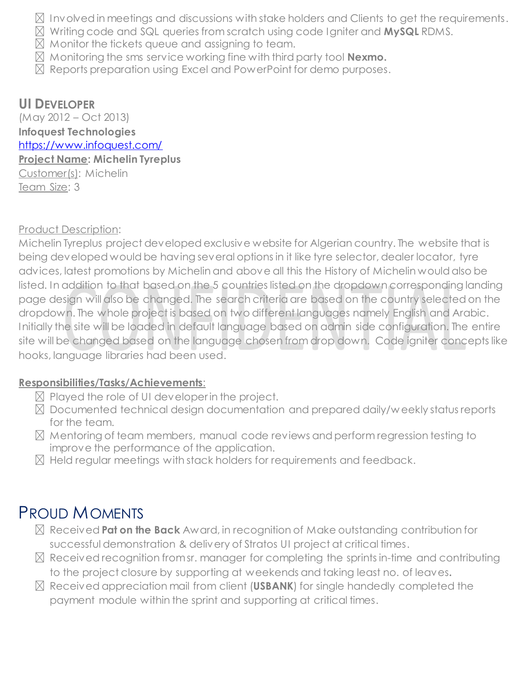- $\boxtimes$  Involved in meetings and discussions with stake holders and Clients to get the requirements.
- Writing code and SQL queries from scratch using code Igniter and **MySQL** RDMS.
- $\boxtimes$  Monitor the tickets queue and assigning to team.
- Monitoring the sms service working fine with third party tool **Nexmo.**
- $\boxtimes$  Reports preparation using Excel and PowerPoint for demo purposes.

#### **UI DEVELOPER**

(May 2012 – Oct 2013) **Infoquest Technologies** <https://www.infoquest.com/> **Project Name: Michelin Tyreplus** Customer(s): Michelin Team Size: 3

Product Description:

Michelin Tyreplus project developed exclusive website for Algerian country. The website that is being developed would be having several options in it like tyre selector, dealer locator, tyre advices, latest promotions by Michelin and above all this the History of Michelin would also be listed. In addition to that based on the 5 countries listed on the dropdown corresponding landing page design will also be changed. The search criteria are based on the country selected on the dropdown. The whole project is based on two different languages namely English and Arabic. Initially the site will be loaded in default language based on admin side configuration. The entire site will be changed based on the language chosen from drop down. Code igniter concepts like hooks, language libraries had been used.

#### **Responsibilities/Tasks/Achievements**:

- $\boxtimes$  Played the role of UI developer in the project.
- Documented technical design documentation and prepared daily/w eekly status reports for the team.
- $\boxtimes$  Mentoring of team members, manual code reviews and perform regression testing to improve the performance of the application.
- $\boxtimes$  Held regular meetings with stack holders for requirements and feedback.

#### PROUD MOMENTS

- Received **Pat on the Back** Award, in recognition of Make outstanding contribution for successful demonstration & delivery of Stratos UI project at critical times.
- $\boxtimes$  Received recognition from sr. manager for completing the sprints in-time and contributing to the project closure by supporting at weekends and taking least no. of leaves**.**
- Received appreciation mail from client (**USBANK**) for single handedly completed the payment module within the sprint and supporting at critical times.